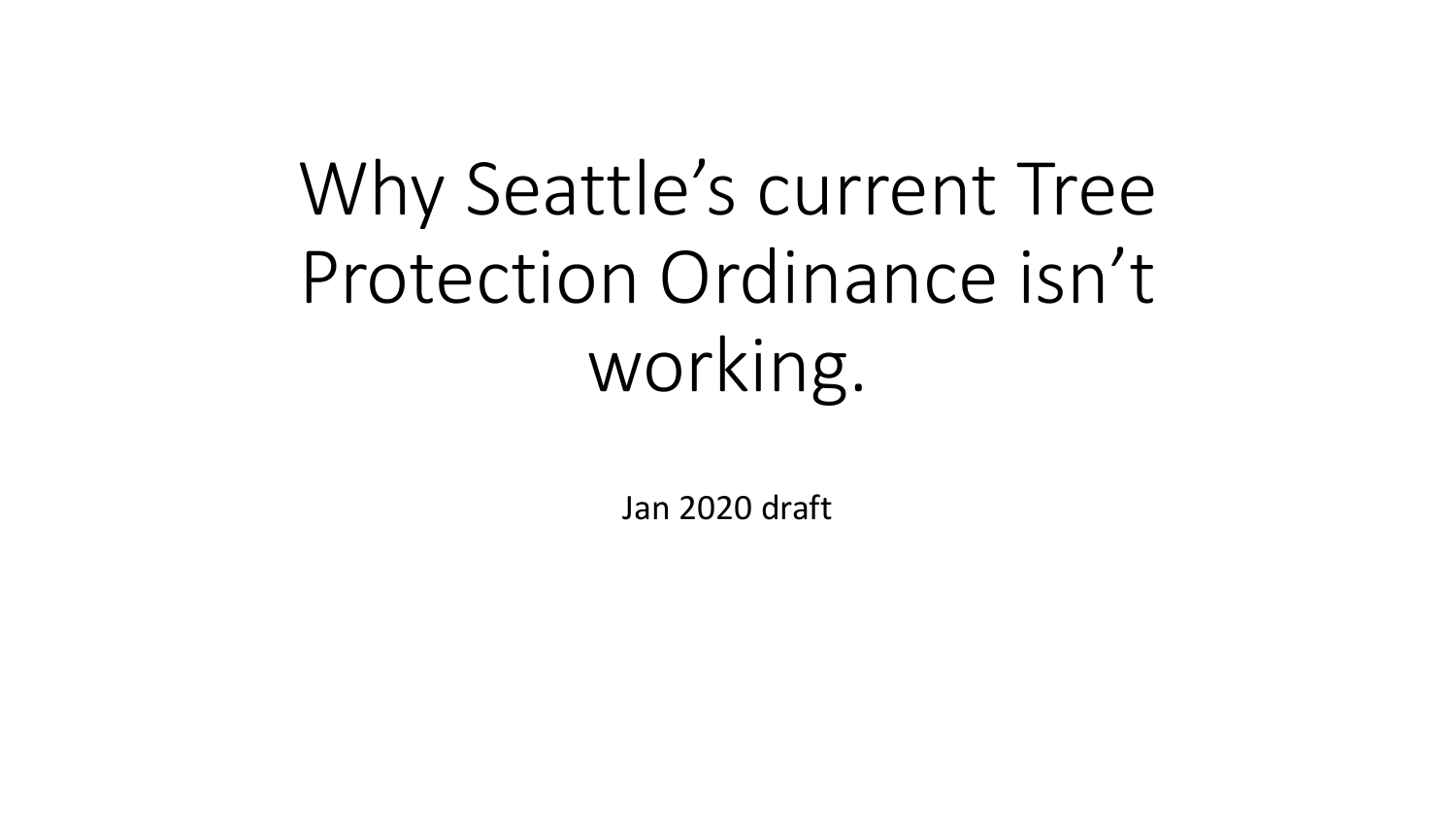# Why Seattle's current Tree Protection Ordinance isn't working.

Jan 2020 draft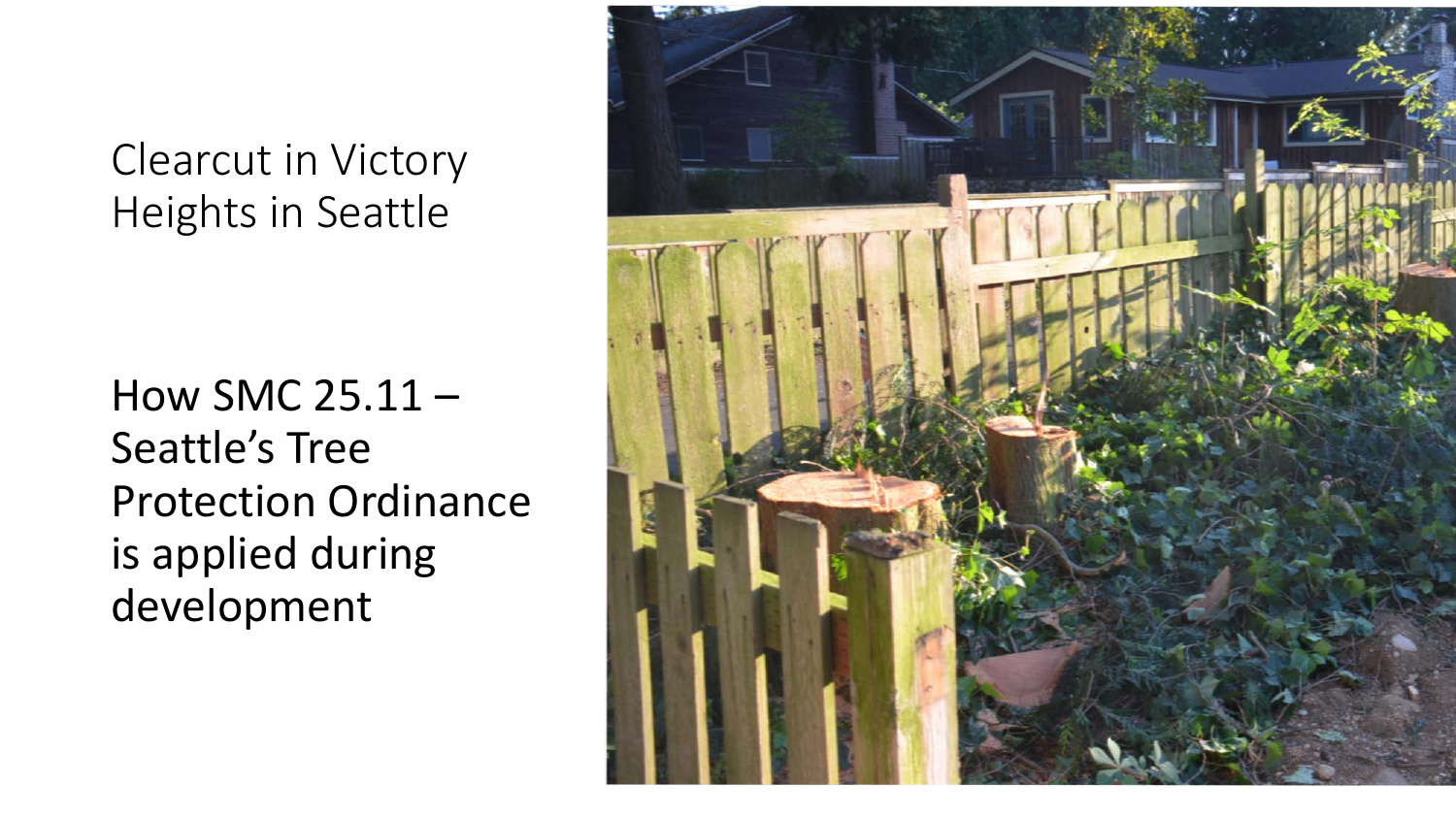### Clearcut in Victory Heights in Seattle

How SMC 25.11 – Seattle's Tree Protection Ordinance is applied during development

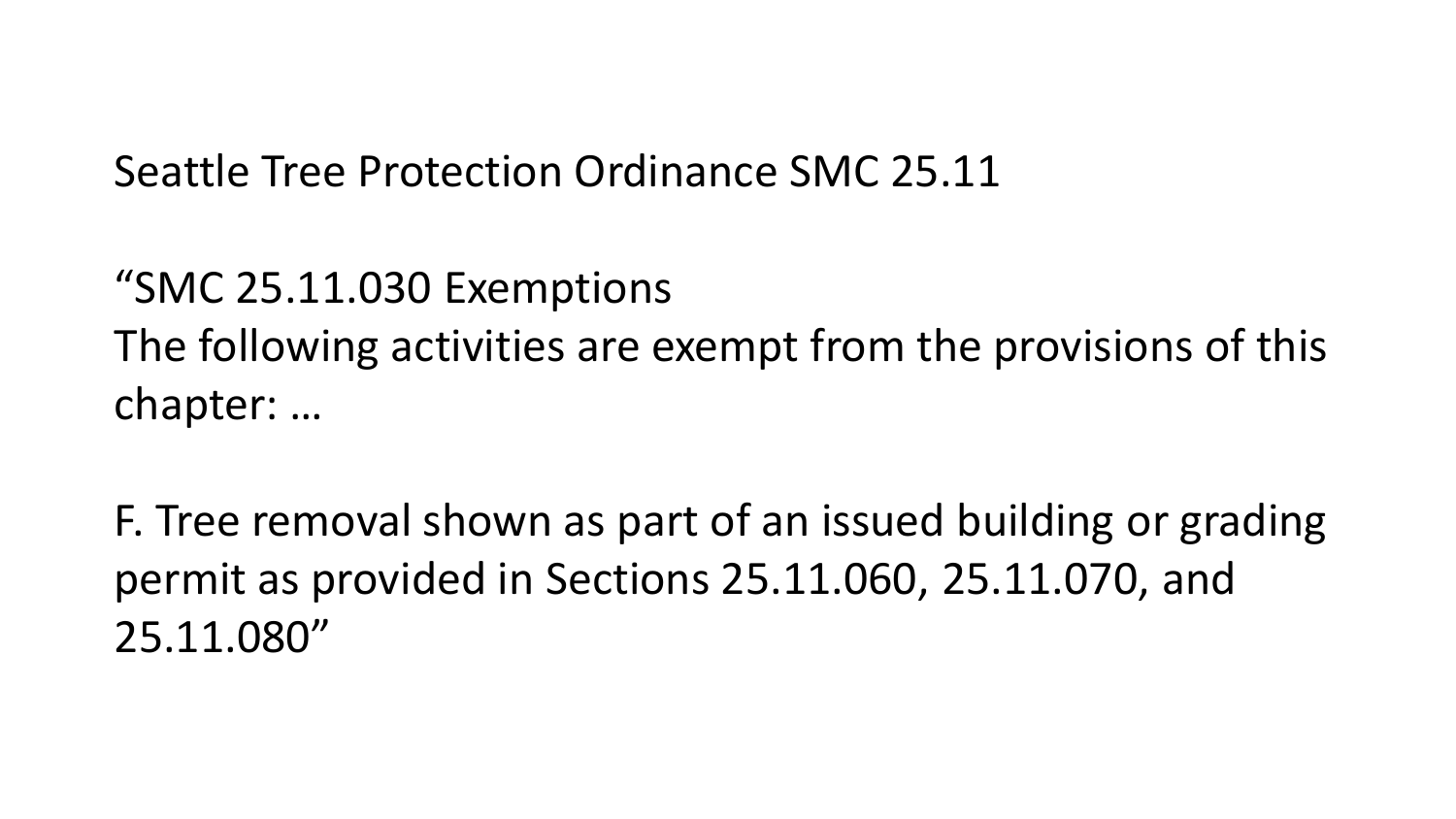Seattle Tree Protection Ordinance SMC 25.11

"SMC 25.11.030 Exemptions The following activities are exempt from the provisions of this chapter: …

F. Tree removal shown as part of an issued building or grading permit as provided in Sections 25.11.060, 25.11.070, and 25.11.080"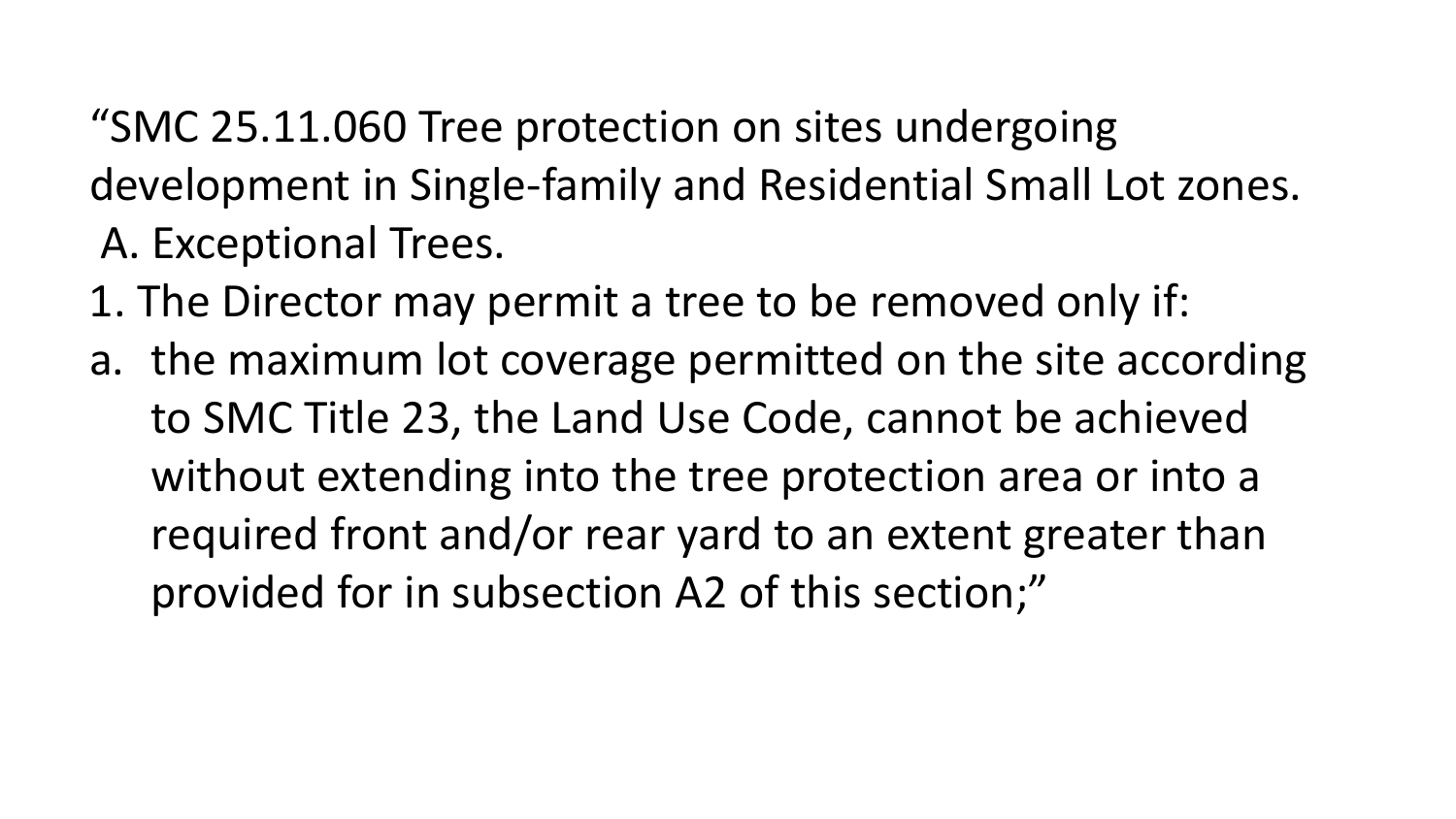"SMC 25.11.060 Tree protection on sites undergoing development in Single-family and Residential Small Lot zones. A. Exceptional Trees.

- 1. The Director may permit a tree to be removed only if:
- a. the maximum lot coverage permitted on the site according to SMC Title 23, the Land Use Code, cannot be achieved without extending into the tree protection area or into a required front and/or rear yard to an extent greater than provided for in subsection A2 of this section;"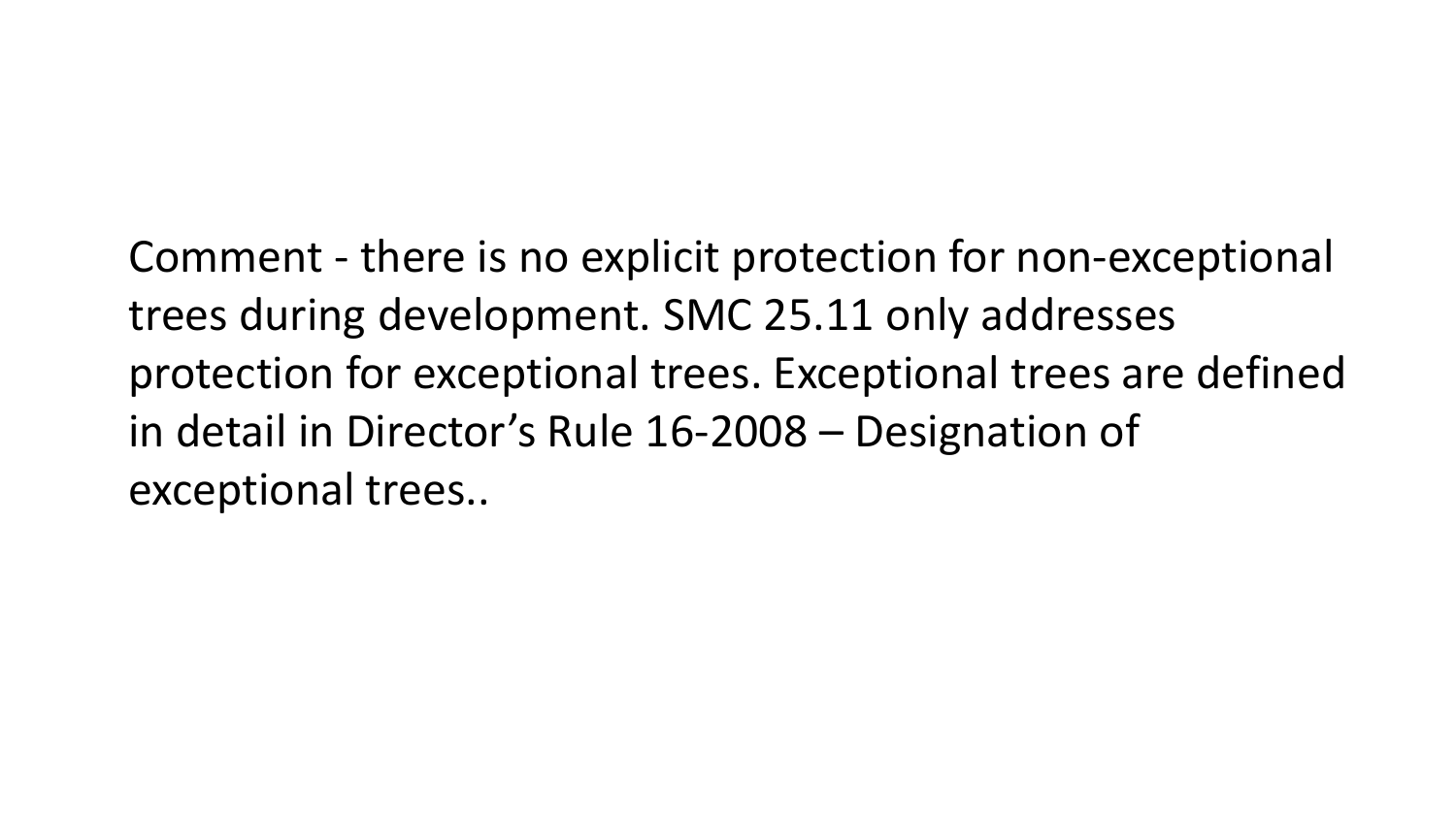Comment - there is no explicit protection for non-exceptional trees during development. SMC 25.11 only addresses protection for exceptional trees. Exceptional trees are defined in detail in Director's Rule 16-2008 – Designation of exceptional trees..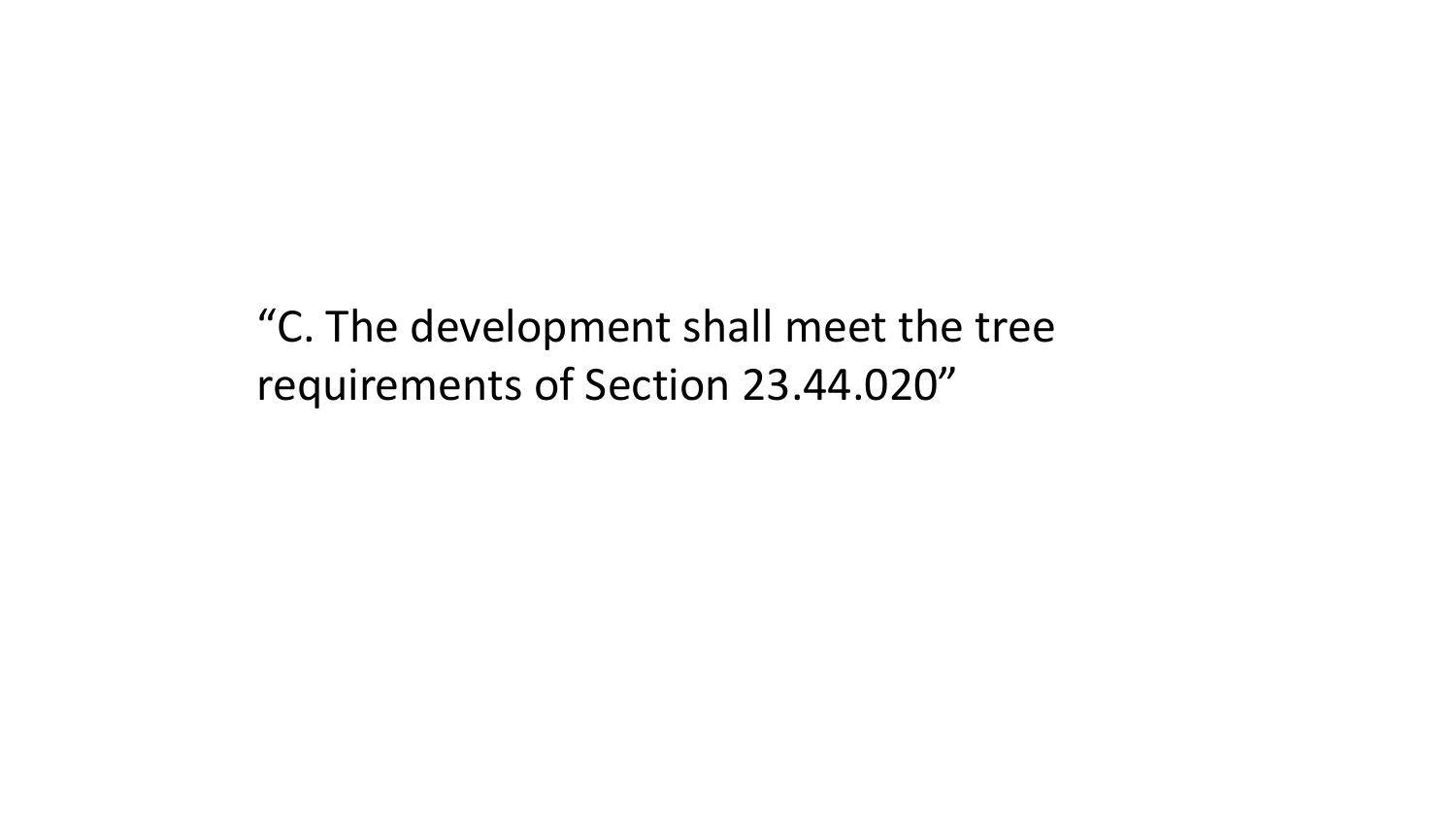"C. The development shall meet the tree requirements of Section 23.44.020"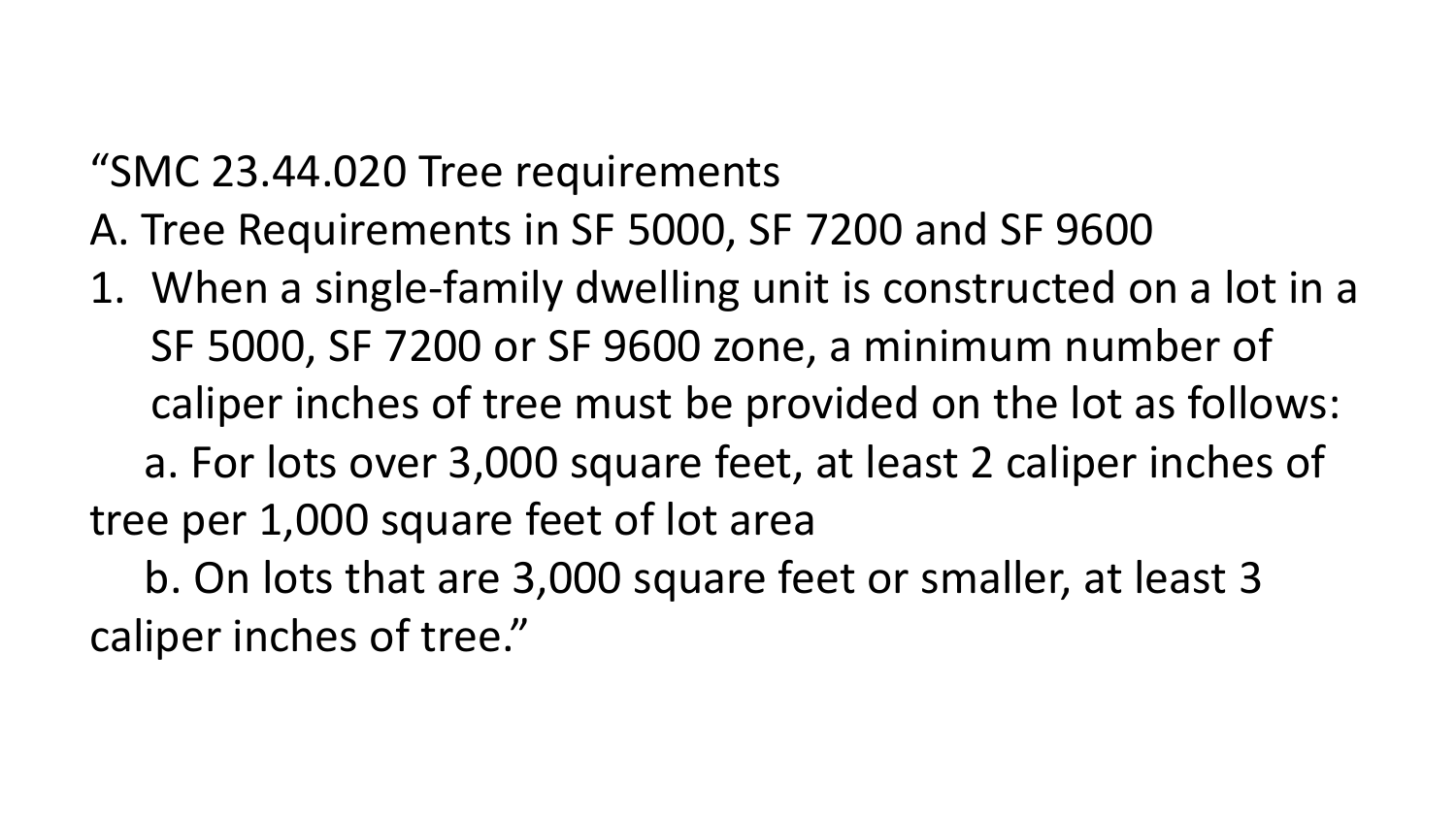#### "SMC 23.44.020 Tree requirements

- A. Tree Requirements in SF 5000, SF 7200 and SF 9600
- 1. When a single-family dwelling unit is constructed on a lot in a SF 5000, SF 7200 or SF 9600 zone, a minimum number of caliper inches of tree must be provided on the lot as follows: a. For lots over 3,000 square feet, at least 2 caliper inches of tree per 1,000 square feet of lot area

b. On lots that are 3,000 square feet or smaller, at least 3 caliper inches of tree."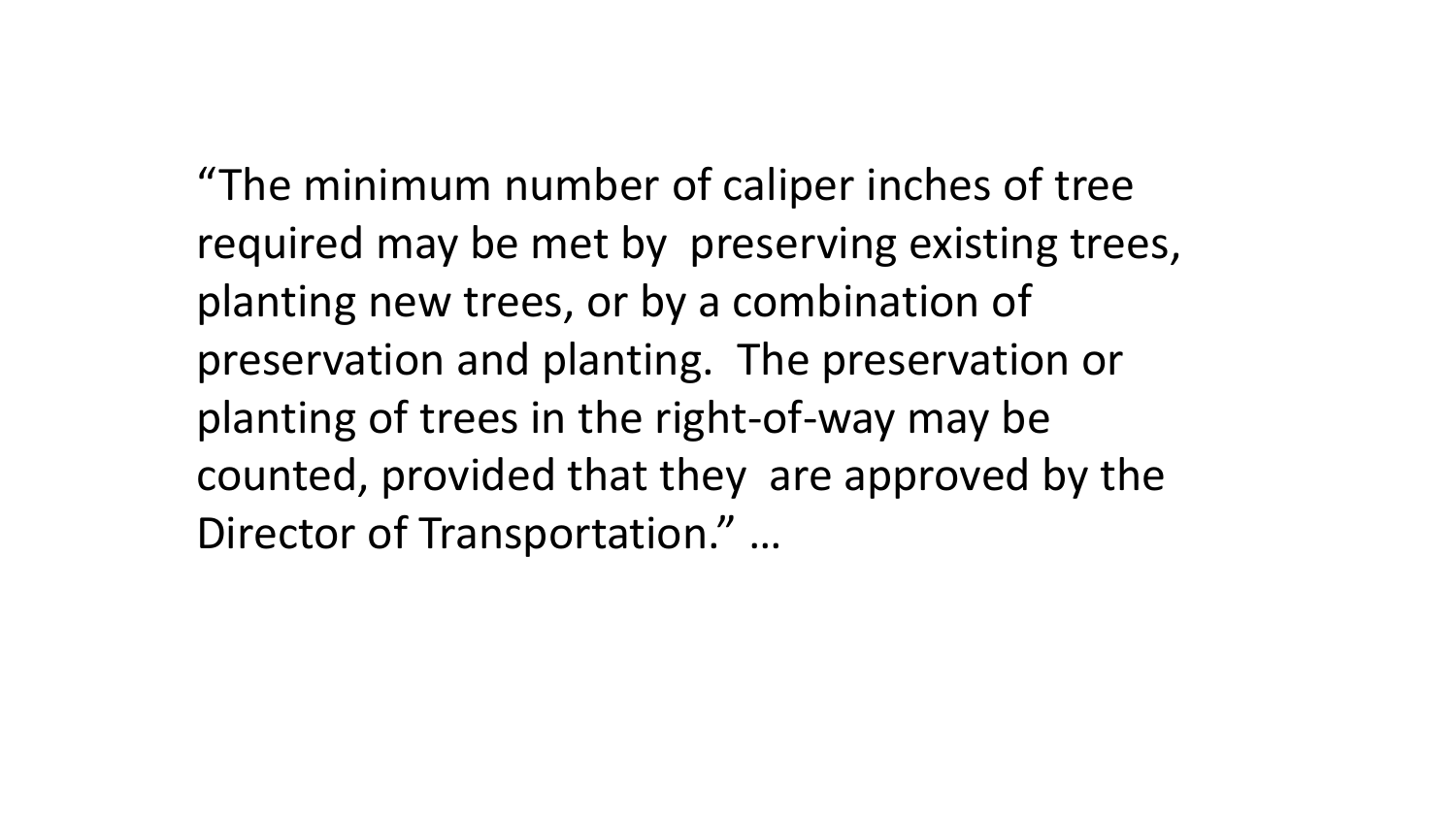"The minimum number of caliper inches of tree required may be met by preserving existing trees, planting new trees, or by a combination of preservation and planting. The preservation or planting of trees in the right-of-way may be counted, provided that they are approved by the Director of Transportation." …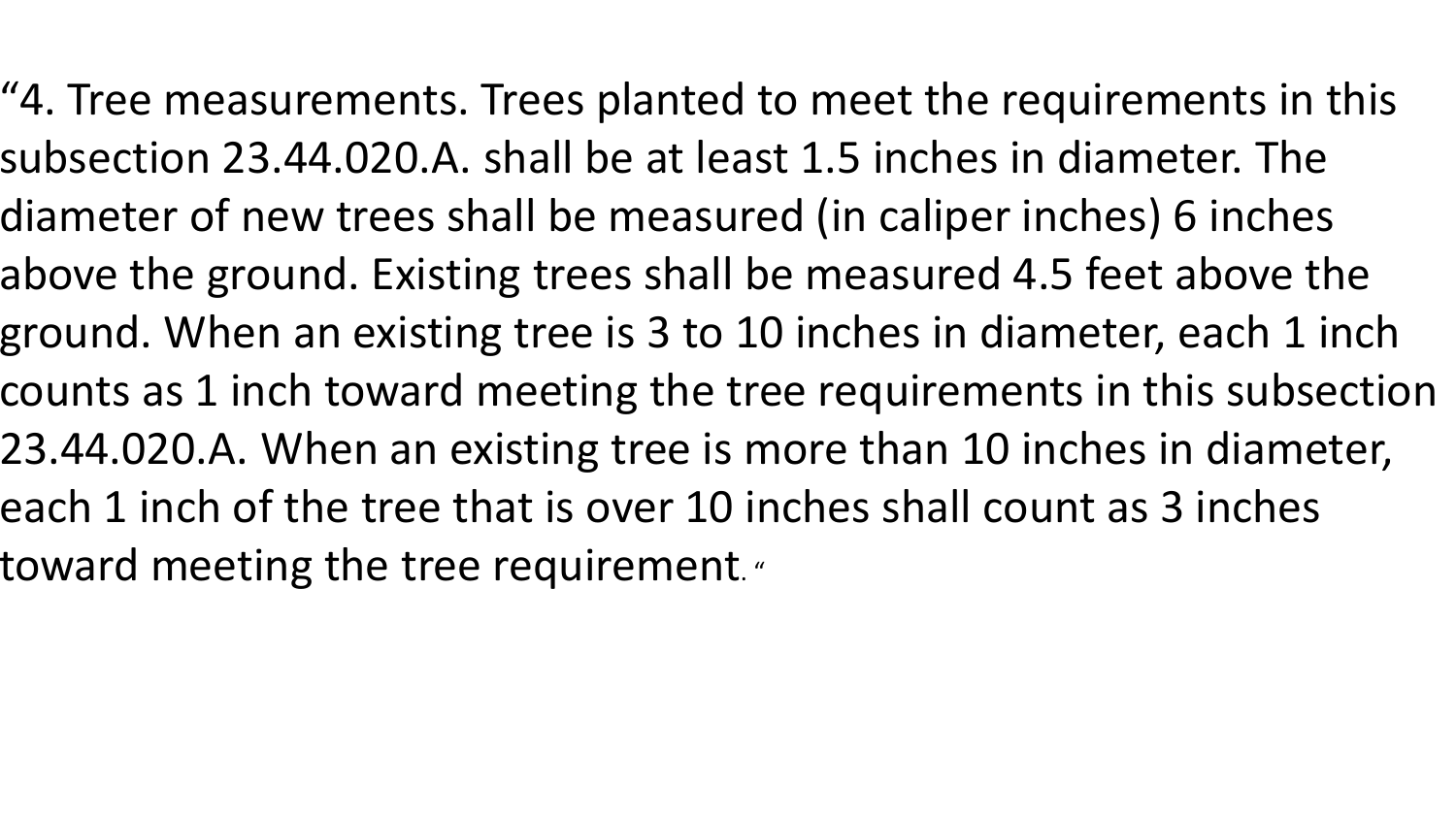"4. Tree measurements. Trees planted to meet the requirements in this subsection 23.44.020.A. shall be at least 1.5 inches in diameter. The diameter of new trees shall be measured (in caliper inches) 6 inches above the ground. Existing trees shall be measured 4.5 feet above the ground. When an existing tree is 3 to 10 inches in diameter, each 1 inch counts as 1 inch toward meeting the tree requirements in this subsection 23.44.020.A. When an existing tree is more than 10 inches in diameter, each 1 inch of the tree that is over 10 inches shall count as 3 inches toward meeting the tree requirement. "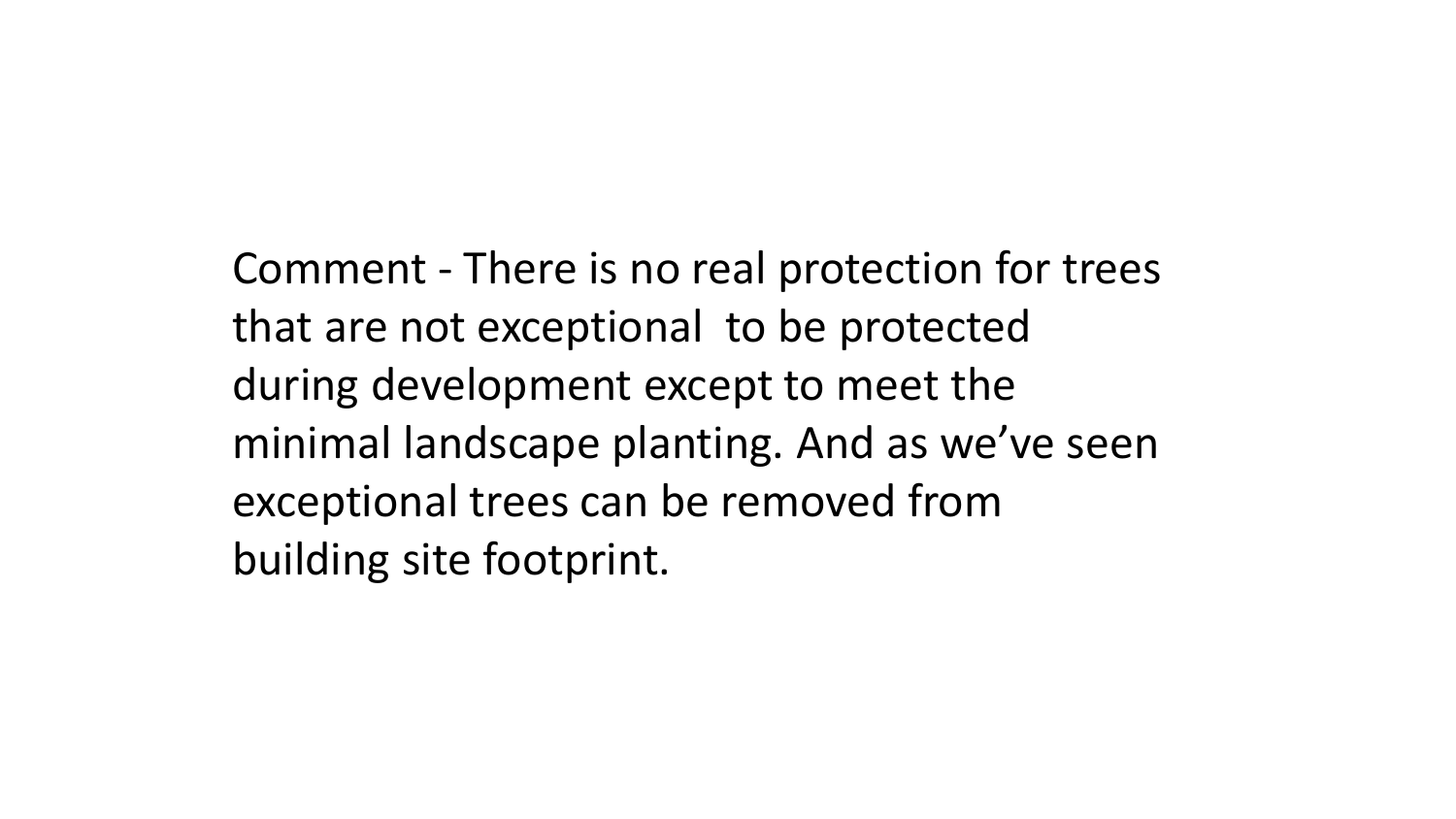Comment - There is no real protection for trees that are not exceptional to be protected during development except to meet the minimal landscape planting. And as we've seen exceptional trees can be removed from building site footprint.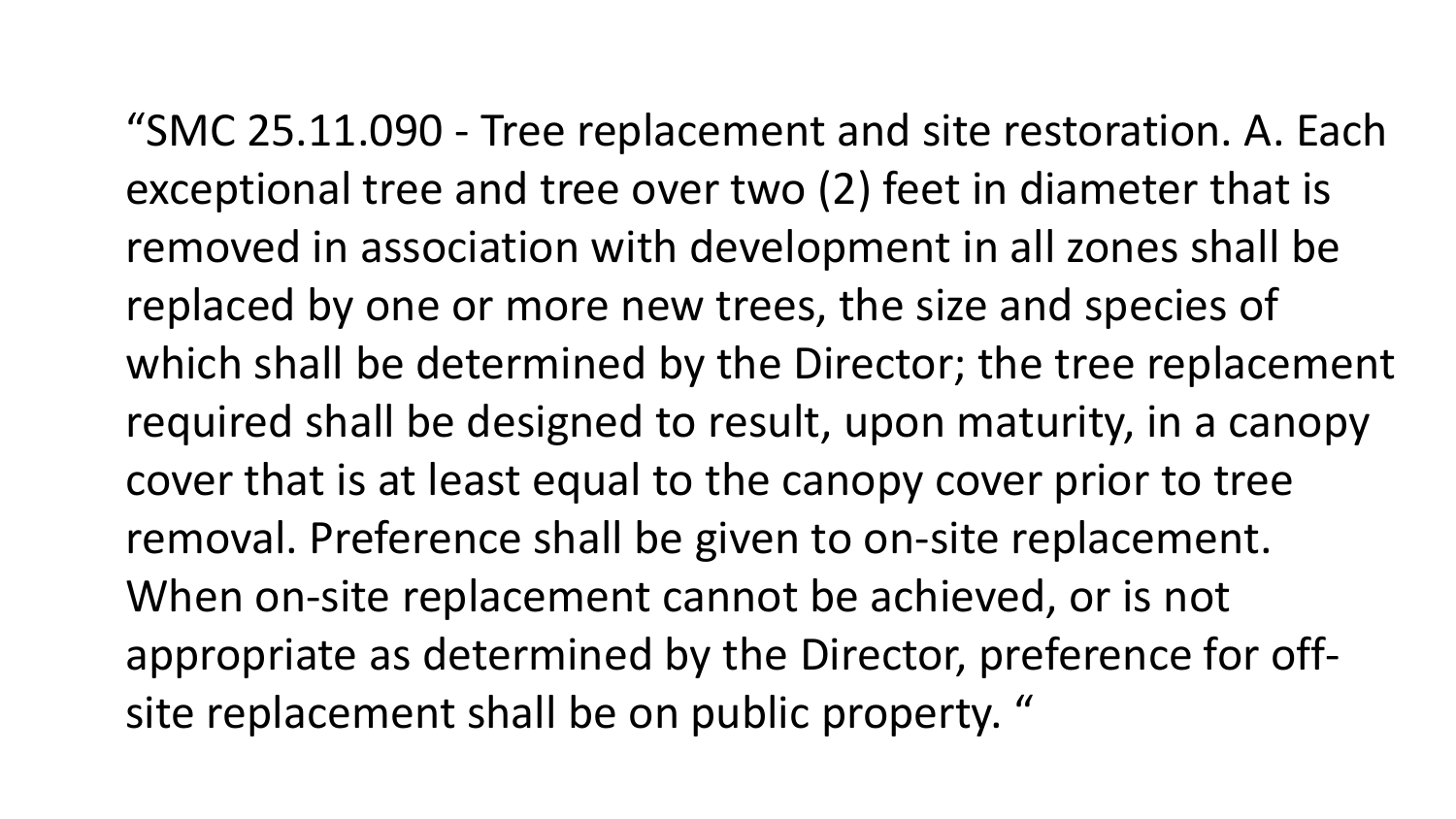"SMC 25.11.090 - Tree replacement and site restoration. A. Each exceptional tree and tree over two (2) feet in diameter that is removed in association with development in all zones shall be replaced by one or more new trees, the size and species of which shall be determined by the Director; the tree replacement required shall be designed to result, upon maturity, in a canopy cover that is at least equal to the canopy cover prior to tree removal. Preference shall be given to on-site replacement. When on-site replacement cannot be achieved, or is not appropriate as determined by the Director, preference for offsite replacement shall be on public property. "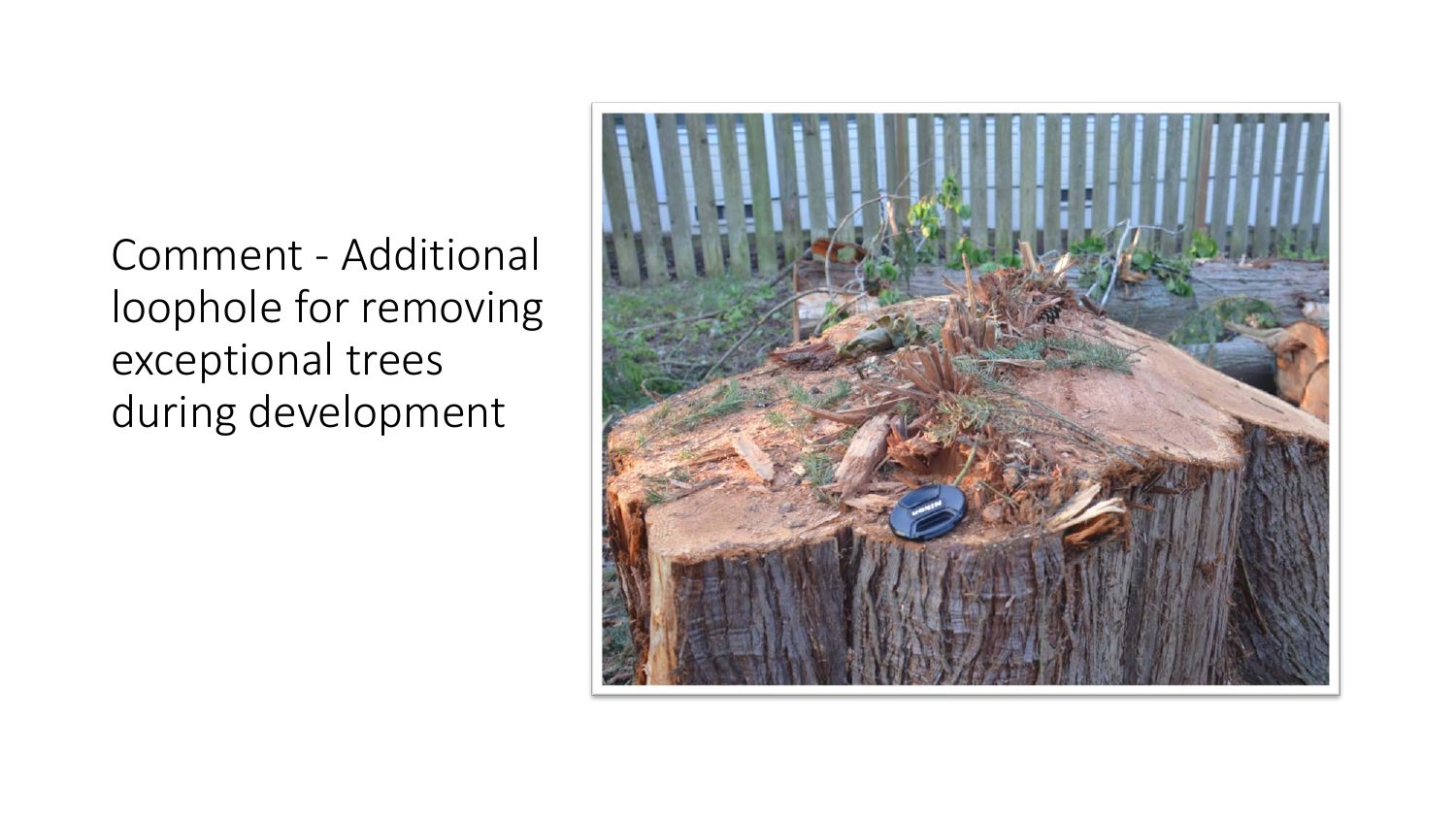Comment - Additional loophole for removing exceptional trees during development

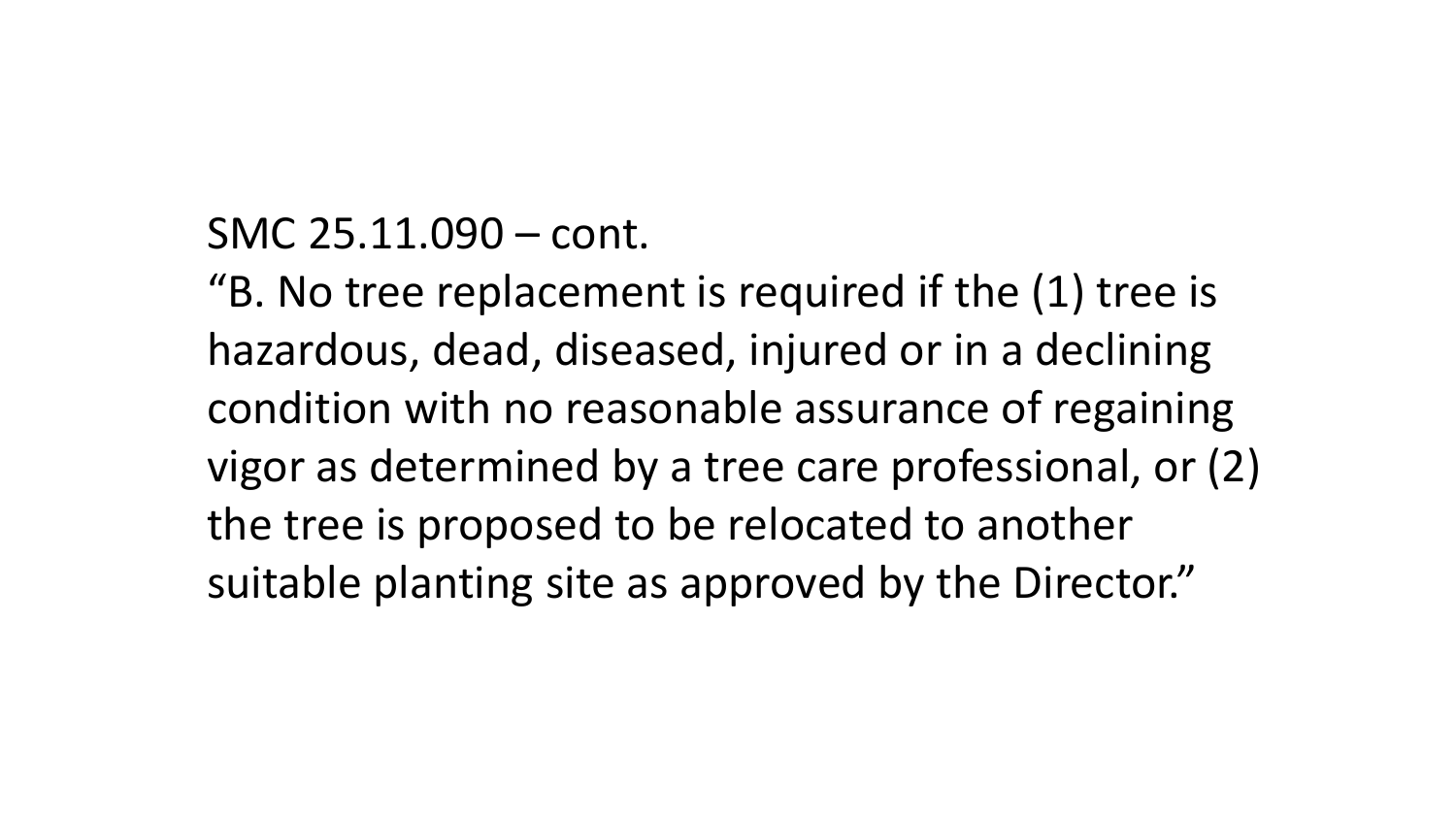#### SMC 25.11.090 – cont.

"B. No tree replacement is required if the (1) tree is hazardous, dead, diseased, injured or in a declining condition with no reasonable assurance of regaining vigor as determined by a tree care professional, or (2) the tree is proposed to be relocated to another suitable planting site as approved by the Director."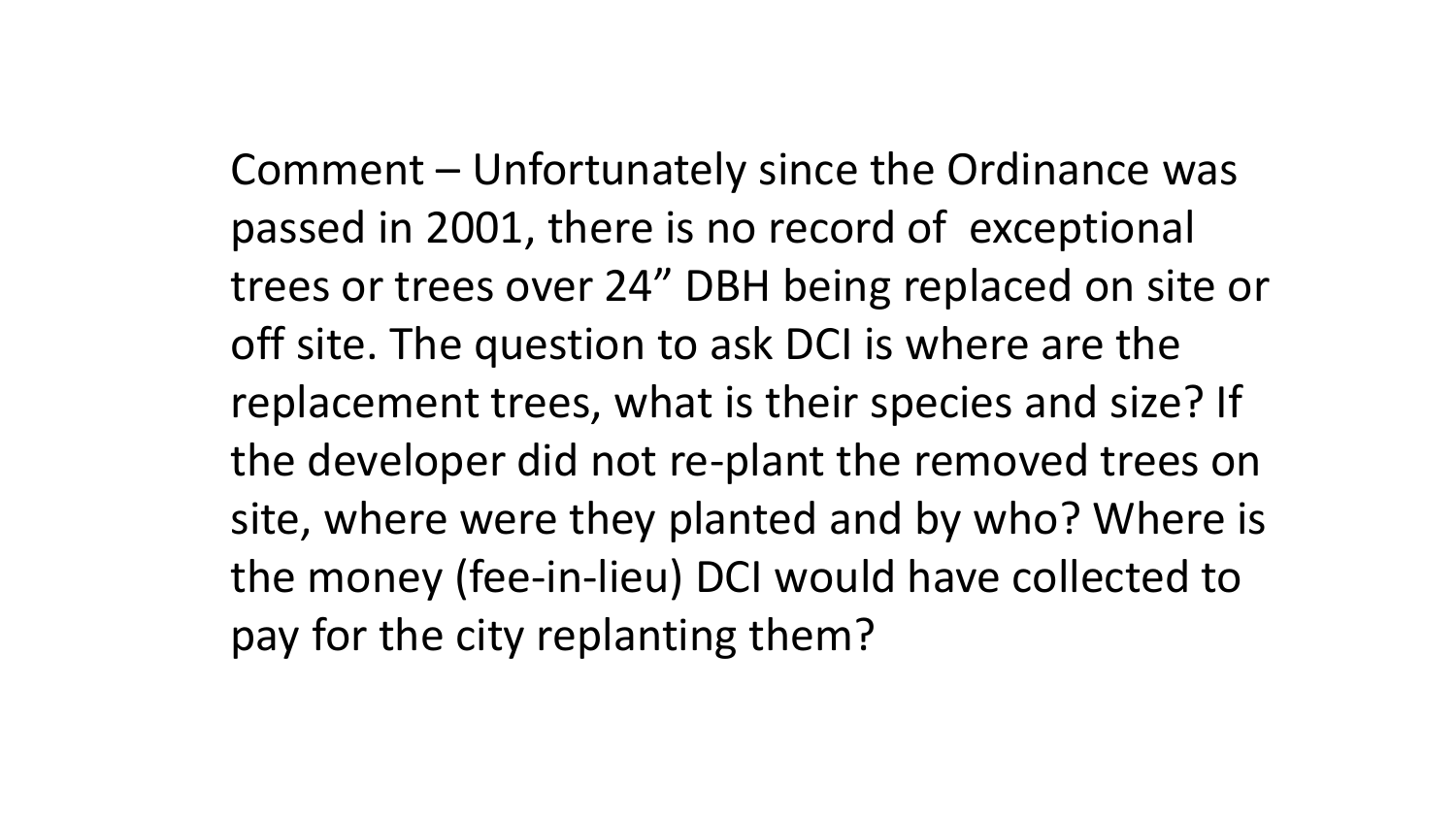Comment – Unfortunately since the Ordinance was passed in 2001, there is no record of exceptional trees or trees over 24" DBH being replaced on site or off site. The question to ask DCI is where are the replacement trees, what is their species and size? If the developer did not re-plant the removed trees on site, where were they planted and by who? Where is the money (fee-in-lieu) DCI would have collected to pay for the city replanting them?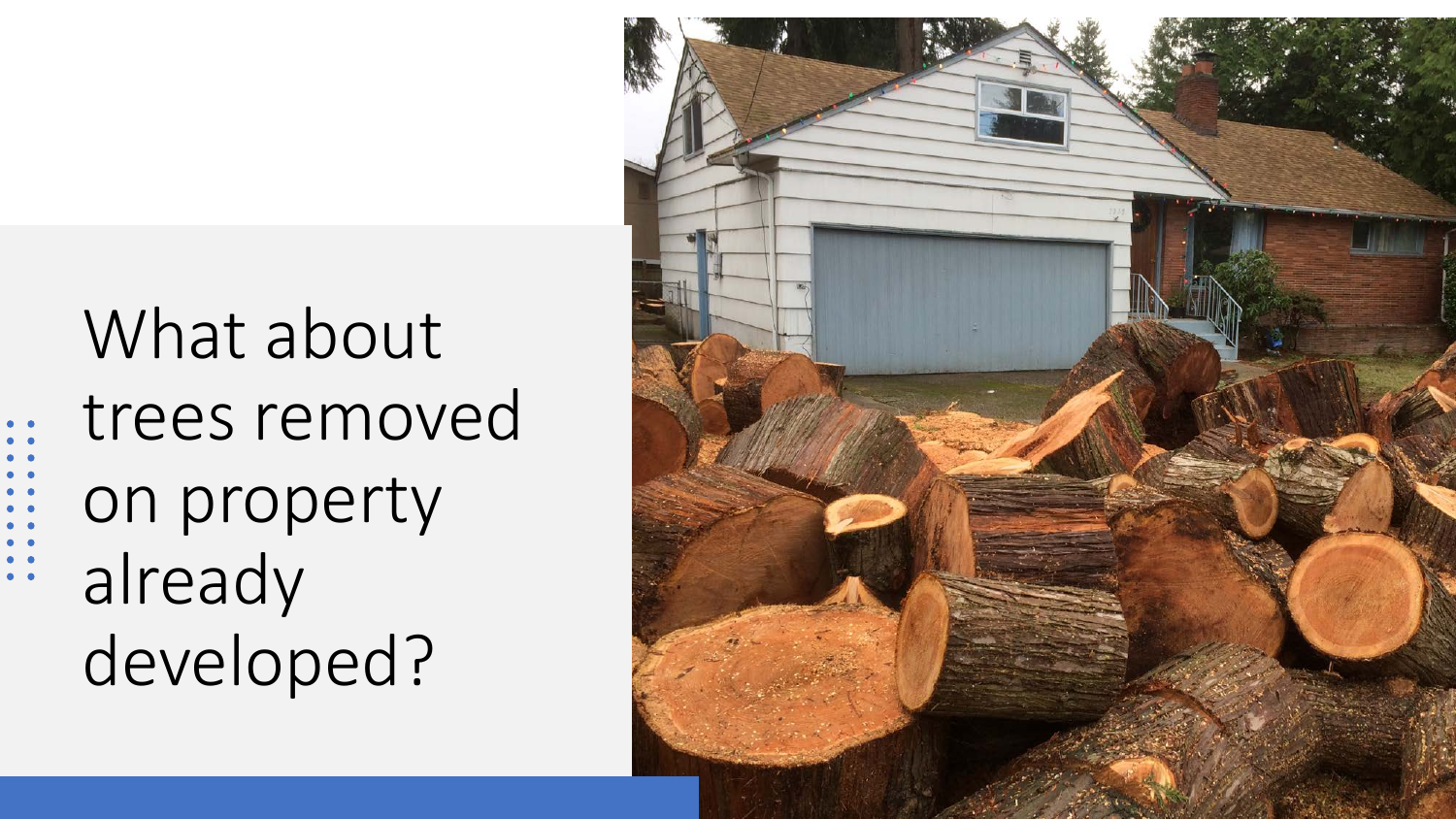# What about trees removed on property already developed?

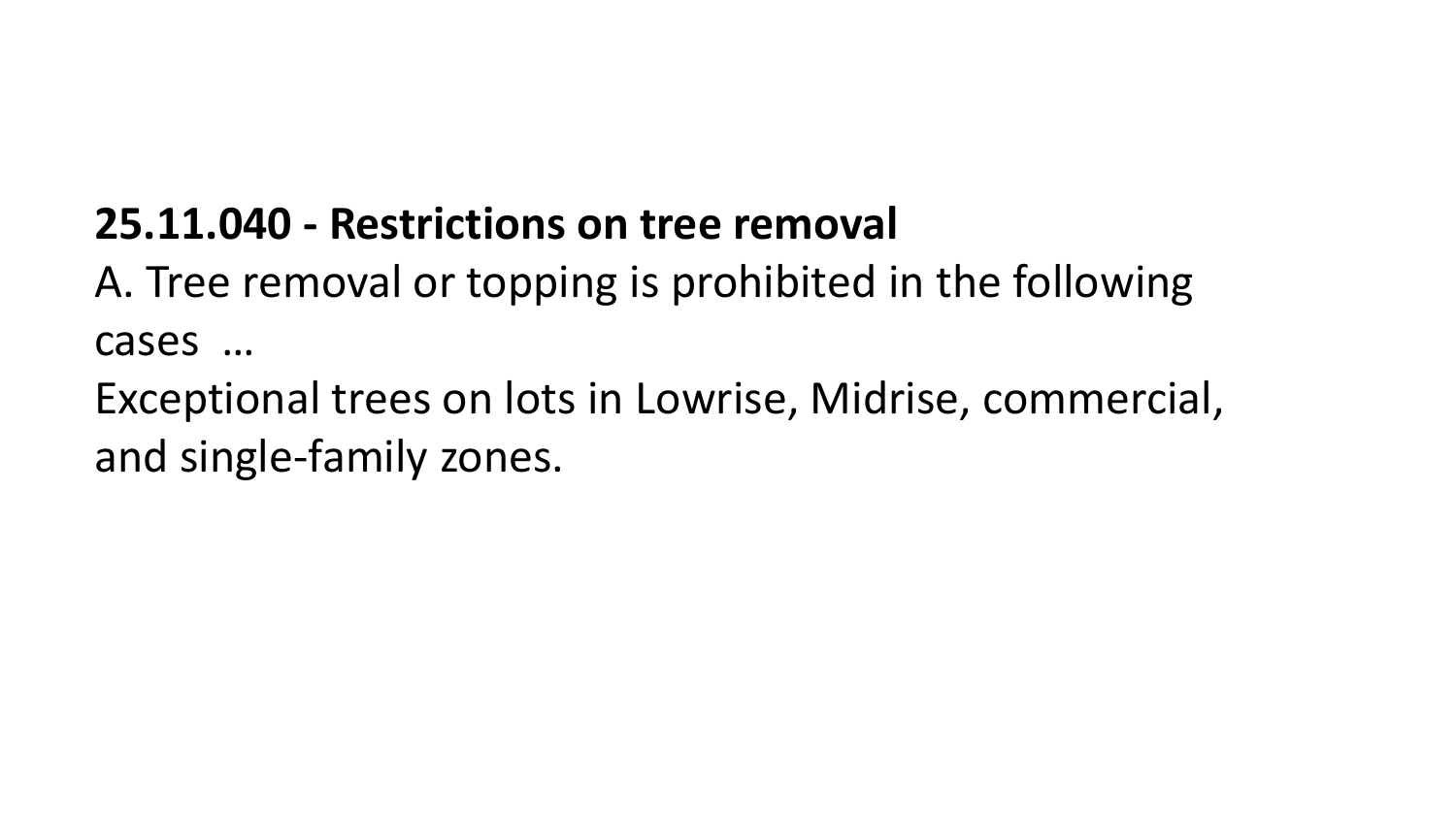### **25.11.040 - Restrictions on tree removal**

A. Tree removal or topping is prohibited in the following cases …

Exceptional trees on lots in Lowrise, Midrise, commercial, and single-family zones.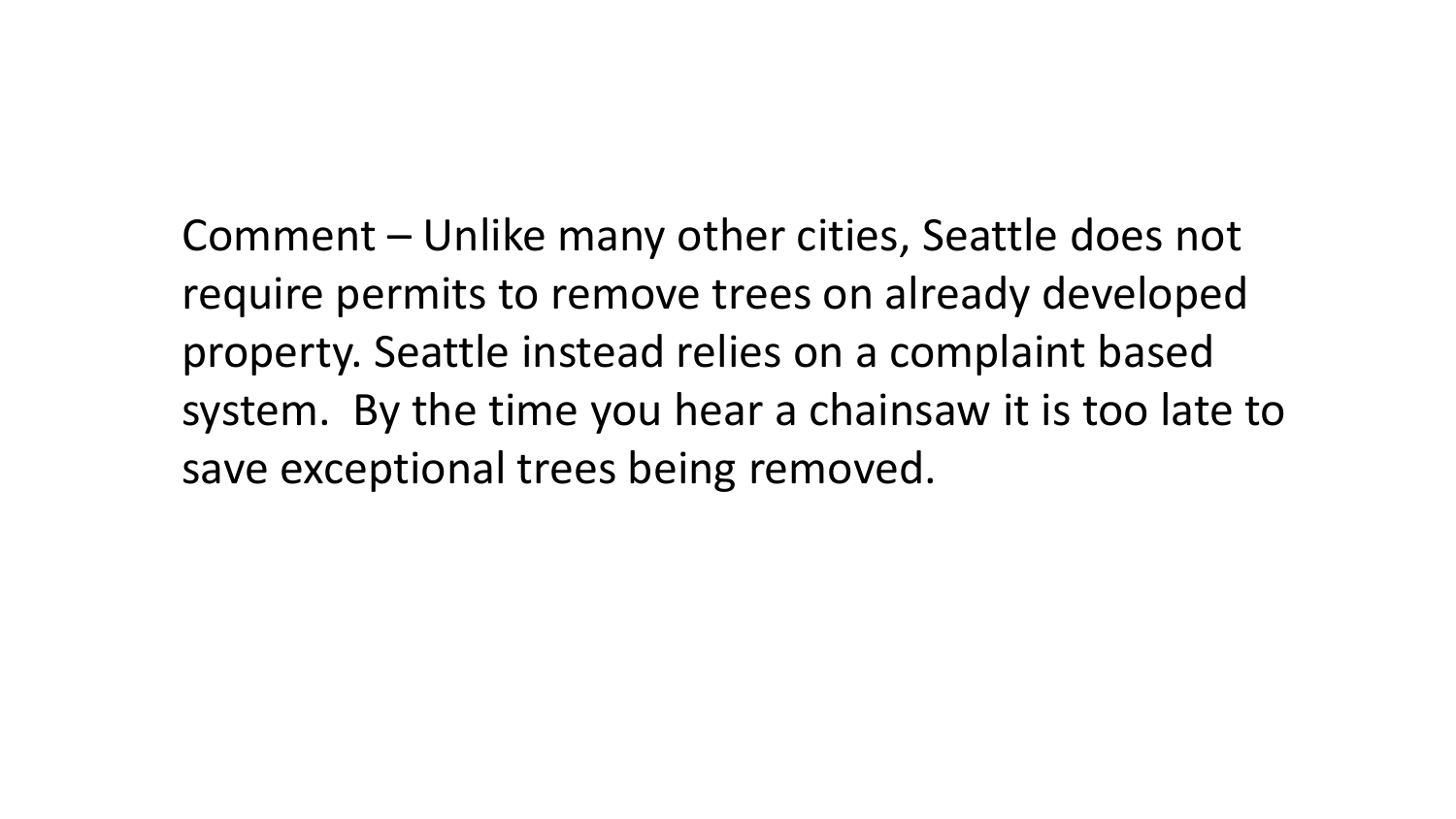Comment – Unlike many other cities, Seattle does not require permits to remove trees on already developed property. Seattle instead relies on a complaint based system. By the time you hear a chainsaw it is too late to save exceptional trees being removed.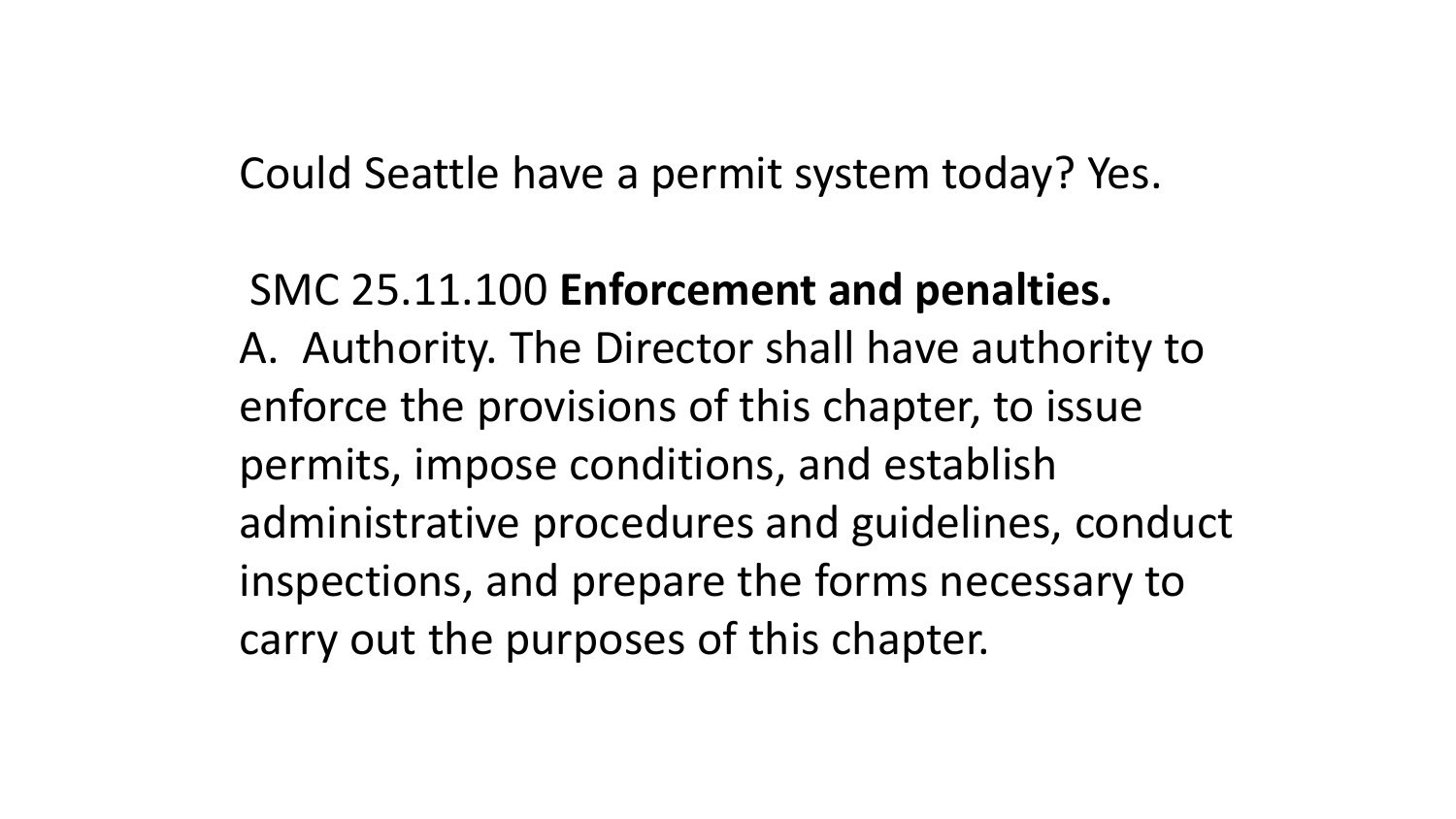Could Seattle have a permit system today? Yes.

## SMC 25.11.100 **Enforcement and penalties.** A. Authority. The Director shall have authority to enforce the provisions of this chapter, to issue permits, impose conditions, and establish administrative procedures and guidelines, conduct inspections, and prepare the forms necessary to carry out the purposes of this chapter.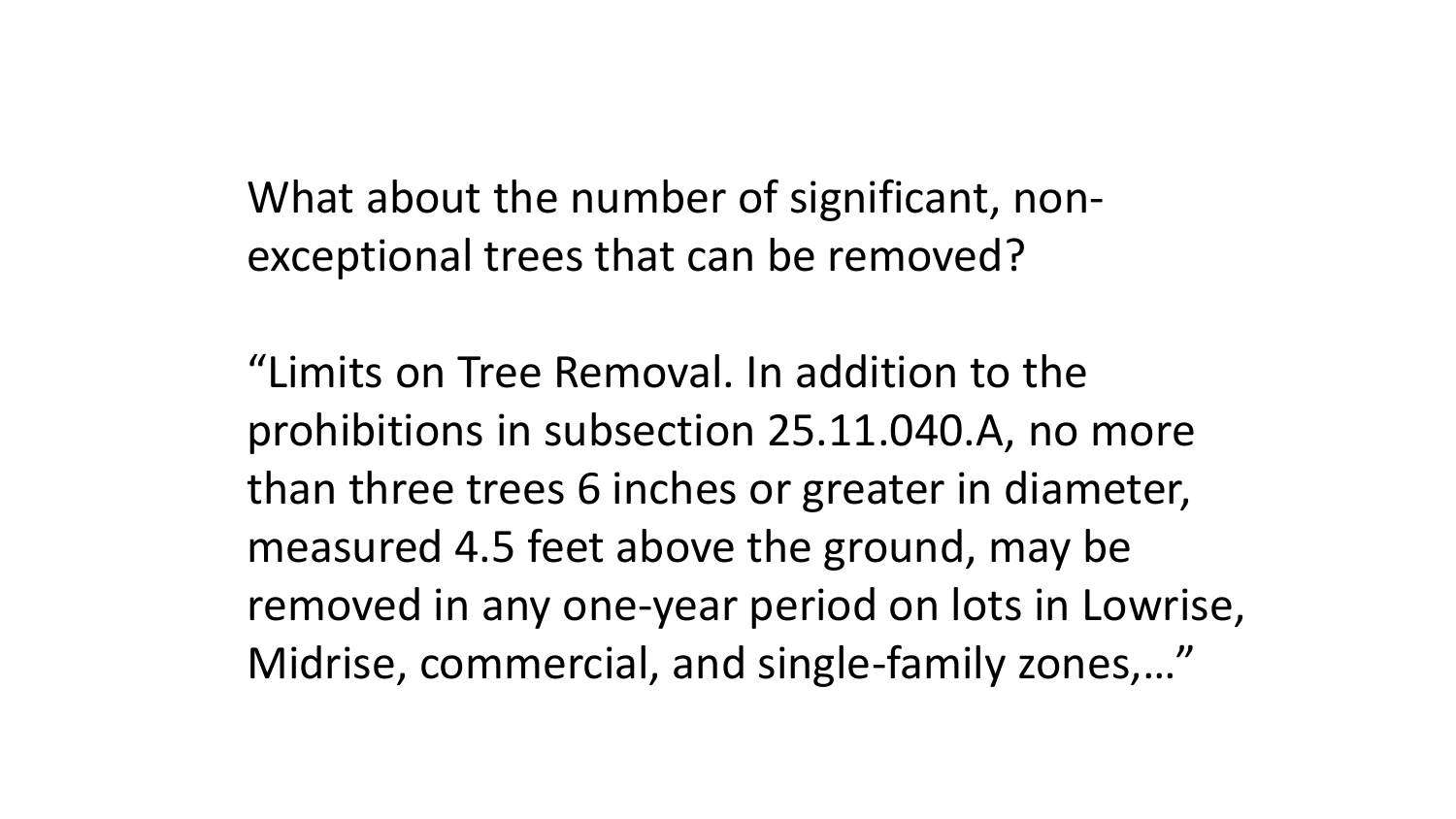What about the number of significant, nonexceptional trees that can be removed?

"Limits on Tree Removal. In addition to the prohibitions in subsection 25.11.040.A, no more than three trees 6 inches or greater in diameter, measured 4.5 feet above the ground, may be removed in any one-year period on lots in Lowrise, Midrise, commercial, and single-family zones,…"